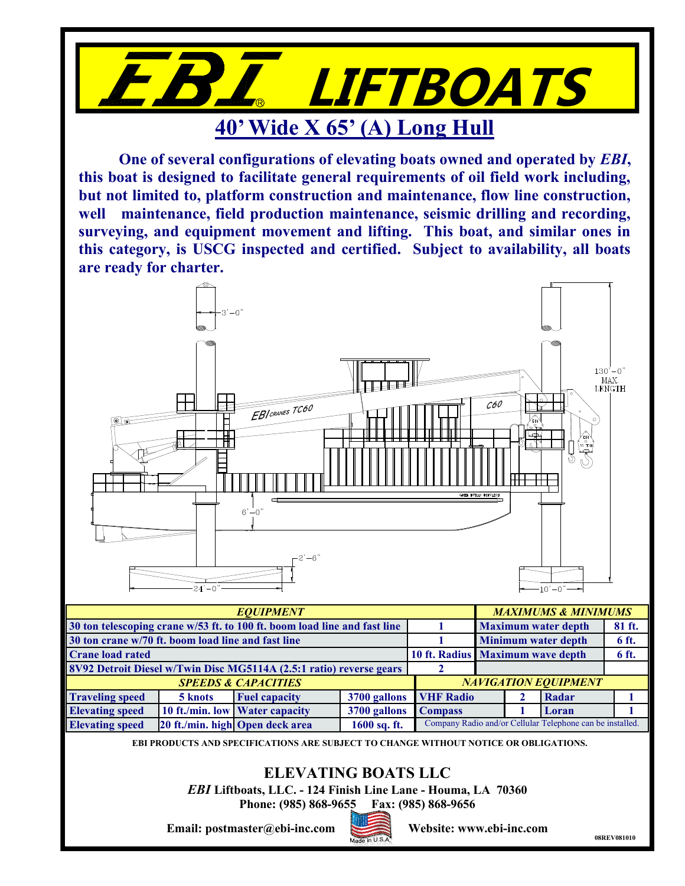

**One of several configurations of elevating boats owned and operated by** *EBI***, this boat is designed to facilitate general requirements of oil field work including, but not limited to, platform construction and maintenance, flow line construction, well maintenance, field production maintenance, seismic drilling and recording, surveying, and equipment movement and lifting. This boat, and similar ones in this category, is USCG inspected and certified. Subject to availability, all boats are ready for charter.**



|                        |                             | 8V92 Detroit Diesel w/Twin Disc MG5114A (2.5:1 ratio) reverse gears |                        |  |  |  |                                                           |  |
|------------------------|-----------------------------|---------------------------------------------------------------------|------------------------|--|--|--|-----------------------------------------------------------|--|
|                        | <b>NAVIGATION EQUIPMENT</b> |                                                                     |                        |  |  |  |                                                           |  |
| <b>Traveling speed</b> | 5 knots                     | <b>Fuel capacity</b>                                                | 3700 gallons VHF Radio |  |  |  | Radar                                                     |  |
| <b>Elevating speed</b> |                             | 10 ft./min. low Water capacity                                      | 3700 gallons Compass   |  |  |  | Loran                                                     |  |
| <b>Elevating speed</b> |                             | 20 ft./min. high Open deck area                                     | $1600$ sq. ft.         |  |  |  | Company Radio and/or Cellular Telephone can be installed. |  |

**EBI PRODUCTS AND SPECIFICATIONS ARE SUBJECT TO CHANGE WITHOUT NOTICE OR OBLIGATIONS.**

## **ELEVATING BOATS LLC**

*EBI* **Liftboats, LLC. - 124 Finish Line Lane - Houma, LA 70360**

**Phone: (985) 868-9655 Fax: (985) 868-9656**

**Email: postmaster@ebi-inc.com Website: www.ebi-inc.com**



**08REV081010**